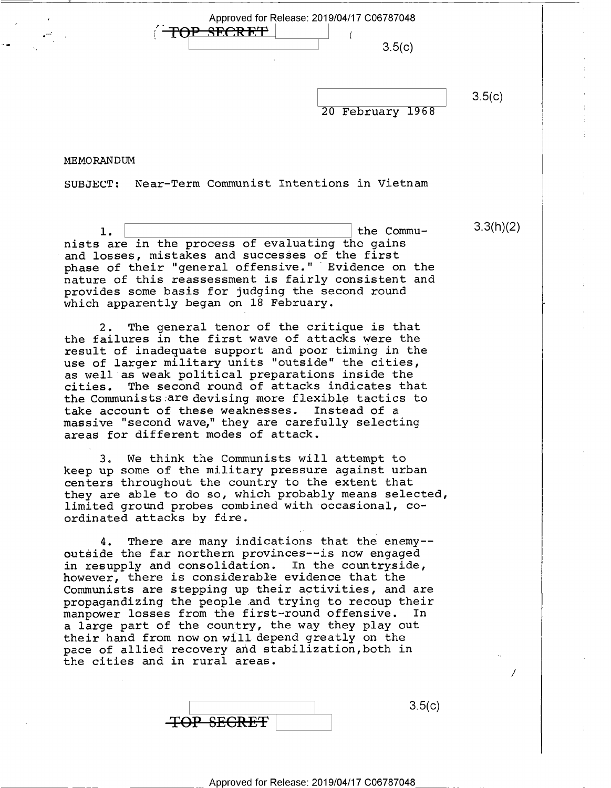Approved for Release: 2019/04/17 C06787048<br>TOP\_SECRET\_ -A ., ,  $3.5(c)$ 

20 February 1968

 $3.5(c)$ 

3.3(h)(2)

MEMORANDUM

r

-

 $\bullet$ 

SUBJECT: Near—Term Communist Intentions in Vietnam

1.  $\vert$  the Commu-<br>nists are in the process of evaluating the gains and losses, mistakes and successes of the first phase of their "general offensive." Evidence on the nature of this reassessment is fairly consistent and provides some basis for judging the second round which apparently began on 18 February.

2. The general tenor of the critique is that the failures in the first wave of attacks were the result of inadequate support and poor timing in the use of larger military units "outside" the cities, as well as weak political preparations inside the cities. The second round of attacks indicates that the Communists are devising more flexible tactics to take account of these weaknesses. Instead of a massive "second wave," they are carefully selecting areas for different modes of attack.

3. We think the Communists will attempt to keep up some of the military pressure against urban centers throughout the country to the extent that they are able to do so, which probably means selected, limited ground probes combined with occasional, coordinated attacks by fire.

4. There are many indications that the enemy- outside the far northern provinces——is now engaged in resupply and consolidation. In the countryside, however, there is considerable evidence that the Communists are stepping up their activities, and are propagandizing the people.and trying to recoup their manpower losses from the first~round offensive. In a large part of the country, the way they play out their hand from now on will depend greatly on the pace of allied recovery and stabilization,both in the cities and in rural areas.

|                   | <u> ၁.၁၊ င</u> |
|-------------------|----------------|
| <b>TOP SECRET</b> |                |

/